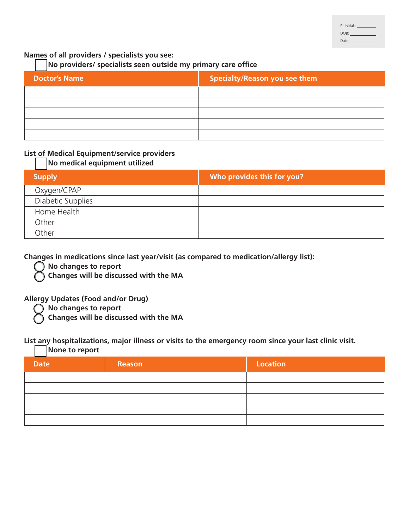| Pt Initials: |  |
|--------------|--|
| DOB:         |  |
| Date:        |  |

### **Names of all providers / specialists you see:**

### **No providers/ specialists seen outside my primary care office**

| <b>Doctor's Name</b> | Specialty/Reason you see them |
|----------------------|-------------------------------|
|                      |                               |
|                      |                               |
|                      |                               |
|                      |                               |
|                      |                               |

### **List of Medical Equipment/service providers**

### **No medical equipment utilized**

| <b>Supply</b>     | Who provides this for you? |
|-------------------|----------------------------|
| Oxygen/CPAP       |                            |
| Diabetic Supplies |                            |
| Home Health       |                            |
| Other             |                            |
| Other             |                            |

**Changes in medications since last year/visit (as compared to medication/allergy list):**

**No changes to report**

**Changes will be discussed with the MA**

#### **Allergy Updates (Food and/or Drug)**

**No changes to report**

**Changes will be discussed with the MA**

#### **List any hospitalizations, major illness or visits to the emergency room since your last clinic visit.**

**None to report**

| <b>Date</b> | Reason | <b>Location</b> |
|-------------|--------|-----------------|
|             |        |                 |
|             |        |                 |
|             |        |                 |
|             |        |                 |
|             |        |                 |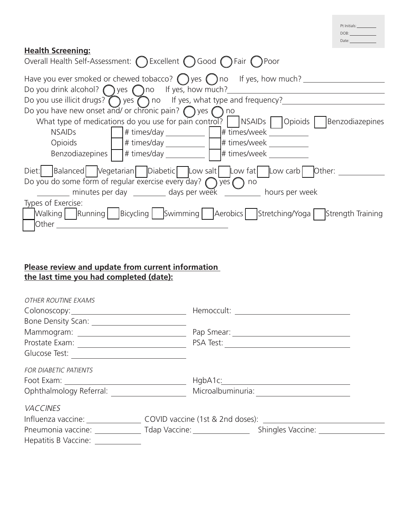| Pt Initials: |  |  |
|--------------|--|--|
| DOB:         |  |  |
| Date:        |  |  |

## **Health Screening:**

| Overall Health Self-Assessment: ◯ Excellent ◯ Good ◯ Fair ◯ Poor                                                                                           |
|------------------------------------------------------------------------------------------------------------------------------------------------------------|
| Have you ever smoked or chewed tobacco? $\bigcap$ yes $\bigcap$ no If yes, how much?<br>Do you drink alcohol? $\bigcap$ yes $\bigcap$ no If yes, how much? |
| Do you use illicit drugs? $\bigcirc$ yes $\bigcirc$ no If yes, what type and frequency?                                                                    |
| Do you have new onset and/ or chronic pain? $\bigcap$ yes $\bigcap$ no                                                                                     |
| What type of medications do you use for pain control? $\vert$ NSAIDs $\vert$ Opioids $\vert$ Benzodiazepines                                               |
| $\# \text{ times/day}$<br>$\#$ times/week<br><b>NSAIDs</b>                                                                                                 |
| Opioids<br># times/week<br>$\#$ times/day                                                                                                                  |
| $\exists$ # times/day<br># times/week<br>Benzodiazepines                                                                                                   |
| Diet: Balanced Vegetarian Diabetic Low salt Low fat Low carb Other:                                                                                        |
| Do you do some form of regular exercise every day? $\bigcirc$ yes $\bigcirc$ no                                                                            |
| minutes per day ___________ days per week ____________ hours per week                                                                                      |
| Types of Exercise:                                                                                                                                         |
| Walking Running   Bicycling   Swimming   Aerobics   Stretching/Yoga   Strength Training                                                                    |
| Other                                                                                                                                                      |

## **Please review and update from current information the last time you had completed (date):**

| OTHER ROUTINE EXAMS                                 |                                                                                                      |
|-----------------------------------------------------|------------------------------------------------------------------------------------------------------|
|                                                     |                                                                                                      |
|                                                     |                                                                                                      |
|                                                     |                                                                                                      |
|                                                     | PSA Test: <u>________________________________</u>                                                    |
| Glucose Test:                                       |                                                                                                      |
| <b>FOR DIABETIC PATIENTS</b>                        |                                                                                                      |
| Foot Exam: <u>_________________________________</u> |                                                                                                      |
| Ophthalmology Referral:                             |                                                                                                      |
| <b>VACCINES</b>                                     |                                                                                                      |
|                                                     | Influenza vaccine: _____________________COVID vaccine (1st & 2nd doses): ___________________________ |
|                                                     |                                                                                                      |
| Hepatitis B Vaccine: ___________                    |                                                                                                      |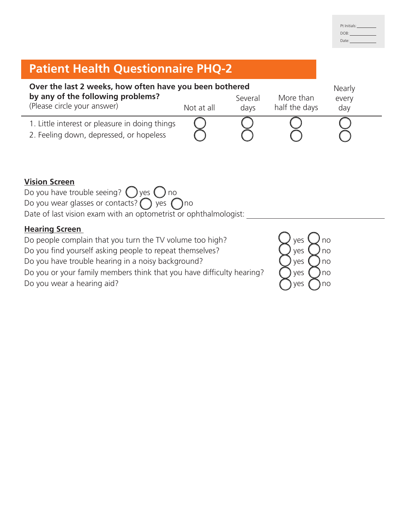| Pt Initials: |  |
|--------------|--|
| DOB:         |  |
| Date:        |  |

# **Patient Health Questionnaire PHQ-2**

| Over the last 2 weeks, how often have you been bothered<br>by any of the following problems?<br>(Please circle your answer) | Not at all | Several<br>days | More than<br>half the days | Nearly<br>every<br>day |
|-----------------------------------------------------------------------------------------------------------------------------|------------|-----------------|----------------------------|------------------------|
| 1. Little interest or pleasure in doing things<br>2. Feeling down, depressed, or hopeless                                   |            |                 |                            |                        |

### **Vision Screen**

Do you have trouble seeing?  $\bigcirc$  yes  $\bigcirc$  no Do you wear glasses or contacts?  $\bigcirc$  yes  $\bigcirc$  no Date of last vision exam with an optometrist or ophthalmologist:

## **Hearing Screen**

Do people complain that you turn the TV volume too high?  $\bigcup$  yes  $\bigcup$  no Do you find yourself asking people to repeat themselves?  $\bigcup$  yes  $\bigcup$  no Do you have trouble hearing in a noisy background?  $\bigcup$  yes  $\bigcap$  no Do you or your family members think that you have difficulty hearing?  $\bigcap$  yes  $\bigcap$  no Do you wear a hearing aid?  $\bigcap$  yes  $\bigcap$  no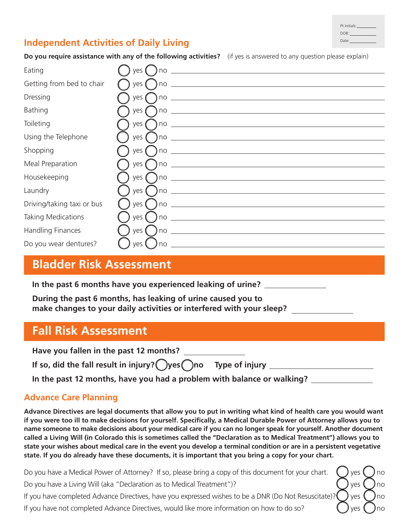| Pt Initials: |  |
|--------------|--|
| DOB:         |  |
| Date:        |  |

# **Independent Activities of Daily Living**

**Do you require assistance with any of the following activities?** (if yes is answered to any question please explain)

| Eating                     | ves                                                                                                                                                                                                                                                                                                                                                          |
|----------------------------|--------------------------------------------------------------------------------------------------------------------------------------------------------------------------------------------------------------------------------------------------------------------------------------------------------------------------------------------------------------|
| Getting from bed to chair  | ves (                                                                                                                                                                                                                                                                                                                                                        |
| Dressing                   | ves (                                                                                                                                                                                                                                                                                                                                                        |
| <b>Bathing</b>             | ) no $\overline{\phantom{a}}$<br>yes (                                                                                                                                                                                                                                                                                                                       |
| Toileting                  |                                                                                                                                                                                                                                                                                                                                                              |
| Using the Telephone        |                                                                                                                                                                                                                                                                                                                                                              |
| Shopping                   | yes (                                                                                                                                                                                                                                                                                                                                                        |
| Meal Preparation           | ) no $\overline{\phantom{a}}$<br>ves (                                                                                                                                                                                                                                                                                                                       |
| Housekeeping               |                                                                                                                                                                                                                                                                                                                                                              |
| Laundry                    | yes (                                                                                                                                                                                                                                                                                                                                                        |
| Driving/taking taxi or bus | yes (                                                                                                                                                                                                                                                                                                                                                        |
| Taking Medications         | $\overline{100}$ $\overline{100}$ $\overline{100}$ $\overline{100}$ $\overline{100}$ $\overline{100}$ $\overline{100}$ $\overline{100}$ $\overline{100}$ $\overline{100}$ $\overline{100}$ $\overline{100}$ $\overline{100}$ $\overline{100}$ $\overline{100}$ $\overline{100}$ $\overline{100}$ $\overline{100}$ $\overline{100}$ $\overline{100}$<br>ves ( |
| Handling Finances          | ) no $\overline{\phantom{a}}$<br>ves (                                                                                                                                                                                                                                                                                                                       |
| Do you wear dentures?      | yes (<br>no                                                                                                                                                                                                                                                                                                                                                  |

# **Bladder Risk Assessment**

**In the past 6 months have you experienced leaking of urine?**

**During the past 6 months, has leaking of urine caused you to make changes to your daily activities or interfered with your sleep?**

# **Fall Risk Assessment**

| Have you fallen in the past 12 months?                        |  |
|---------------------------------------------------------------|--|
| If so, did the fall result in injury? Oyes Ono Type of injury |  |

**In the past 12 months, have you had a problem with balance or walking?**

# **Advance Care Planning**

**Advance Directives are legal documents that allow you to put in writing what kind of health care you would want if you were too ill to make decisions for yourself. Specifically, a Medical Durable Power of Attorney allows you to name someone to make decisions about your medical care if you can no longer speak for yourself. Another document called a Living Will (in Colorado this is sometimes called the "Declaration as to Medical Treatment") allows you to state your wishes about medical care in the event you develop a terminal condition or are in a persistent vegetative state. If you do already have these documents, it is important that you bring a copy for your chart.**

Do you have a Medical Power of Attorney? If so, please bring a copy of this document for your chart.  $\Box$  yes  $\Box$  no

Do you have a Living Will (aka "Declaration as to Medical Treatment")?  $\bigcirc$   $\bigcirc$   $\bigcirc$   $\bigcirc$   $\bigcirc$   $\bigcirc$   $\bigcirc$   $\bigcirc$   $\bigcirc$   $\bigcirc$  no

If you have completed Advance Directives, have you expressed wishes to be a DNR (Do Not Resuscitate)?  $\bigcirc$  yes  $\bigcirc$  no

If you have not completed Advance Directives, would like more information on how to do so?  $\Box$  yes  $\Box$  no